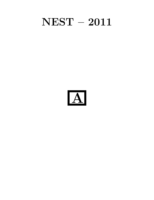# NEST – 2011

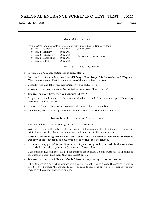# NATIONAL ENTRANCE SCREENING TEST (NEST – 2011)

# Total Marks: 200 Time: 3 hours

| <b>General instructions</b> |                                                                                                                                                                                                                                                                                                                                |  |  |  |
|-----------------------------|--------------------------------------------------------------------------------------------------------------------------------------------------------------------------------------------------------------------------------------------------------------------------------------------------------------------------------|--|--|--|
|                             | 1. This question booklet contains 5 sections, with mark distribution as follows.<br>Section 1<br>General<br>50 marks<br>Compulsory<br>Section 2<br>50 marks<br><b>Biology</b><br>Chemistry<br>Section 3<br>50 marks<br>Choose any three sections<br>Section 4<br>Mathematics<br>50 marks<br>Section 5<br>Physics<br>$50$ marks |  |  |  |
|                             | Total = $50 + 3 \times 50 = 200$ marks                                                                                                                                                                                                                                                                                         |  |  |  |
|                             | 2. Section 1 is a General section and is compulsory.                                                                                                                                                                                                                                                                           |  |  |  |
|                             | 3. Sections 2 to 5 are subject sections (Biology, Chemistry, Mathematics and Physics).<br>Choose any three. That is, omit any one of the four subject sections.                                                                                                                                                                |  |  |  |
|                             | 4. Carefully read and follow the instructions given in each section.                                                                                                                                                                                                                                                           |  |  |  |
|                             | 5. Answers to the questions are to be marked in the Answer Sheet provided.                                                                                                                                                                                                                                                     |  |  |  |
|                             | 6. Ensure that you have received Answer Sheet A.                                                                                                                                                                                                                                                                               |  |  |  |
|                             | 7. Rough work should be done on the space provided at the end of the question paper. If necessary<br>extra sheets will be provided.                                                                                                                                                                                            |  |  |  |
|                             | 8. Return the Answer Sheet to the invigilator at the end of the examination.                                                                                                                                                                                                                                                   |  |  |  |
|                             | 9. Calculators, log tables, cell phones, etc. are not permitted in the examination hall.                                                                                                                                                                                                                                       |  |  |  |
|                             | <b>Instructions for writing on Answer Sheet</b>                                                                                                                                                                                                                                                                                |  |  |  |
|                             | 1. Read and follow the instructions given on the Answer Sheet.                                                                                                                                                                                                                                                                 |  |  |  |
|                             | 2. Write your name, roll number and other required information with ball point pen in the appro-<br>priate boxes provided. Sign your name with ball point pen in the box provided.                                                                                                                                             |  |  |  |
|                             | 3. Your roll number (given on the admit card) must be entered correctly. If entered<br>wrongly or not entered, the Answer Sheet WILL not be graded.                                                                                                                                                                            |  |  |  |
|                             | 4. In the remaining part of Answer Sheet use HB pencil only as instructed. Make sure that<br>the bubbles are filled properly (as shown in Answer Sheet).                                                                                                                                                                       |  |  |  |
|                             | 5. Each question has four options. Fill the appropriate bubble(s). Some questions (as specified in<br>the question paper) have more than one correct option.                                                                                                                                                                   |  |  |  |
|                             | 6. Ensure that you are filling up the bubbles corresponding to correct sections.                                                                                                                                                                                                                                               |  |  |  |
|                             | 7. Fill in the answers only when you are sure that you do not need to change the answer. As far as<br>possible, avoid erasing the answer. In case you have to erase the answer, do so properly so that<br>there is no black spot inside the bubble.                                                                            |  |  |  |
|                             |                                                                                                                                                                                                                                                                                                                                |  |  |  |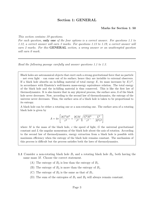## Section 1: GENERAL

#### Marks for Section 1: 50

*This section contains 19 questions.*

*For each question,* only one *of the four options is a correct answer. For questions 1.1 to 1.12, a correct answer will earn 3 marks. For questions 1.13 to 1.19, a correct answer will earn 2 marks. For this* GENERAL *section, a wrong answer or an unattempted question will earn 0 mark.*

*Read the following passage carefully and answer questions 1.1 to 1.3.*

Black holes are astronomical objects that exert such a strong gravitational force that no particle – not even light – can come out of its surface; hence they are invisible to external observers. If a black hole absorbs an in-falling material of total energy E, its mass increases by  $E/c^2$ , in accordance with Einstein's well-known mass-energy equivalence relation. The total energy of the black hole and the in-falling material is thus conserved. This is like the first law of thermodynamics. It is also known that in any physical process, the surface area A of the black hole never decreases. Now, according to the second law of thermodynamics, the entropy of the universe never decreases. Thus, the surface area of a black hole is taken to be proportional to its entropy.

A black hole can be either a rotating one or a non-rotating one. The surface area of a rotating black hole is given by

$$
A = 4\pi \left[ \frac{2G^2M^2}{c^4} + \frac{2GM}{c^2} \sqrt{\frac{G^2M^2}{c^4} - \frac{L^2}{M^2c^2}} \right]
$$

where M is the mass of the black hole, c the speed of light, G the universal gravitational constant and  $L$  the angular momentum of the black hole about the axis of rotation. According to the second law of thermodynamics, energy extraction from a black hole is possible with maximum efficiency when the entropy of the black hole remains constant. The mechanism of this process is difficult but the process satisfies both the laws of thermodynamics.

- 1.1 Consider a non-rotating black hole  $B_1$  and a rotating black hole  $B_2$ , both having the same mass M. Choose the correct statement.
	- (A) The entropy of  $B_2$  is less than the entropy of  $B_1$ .
	- (B) The entropy of  $B_2$  is more than the entropy of  $B_1$ .
	- (C) The entropy of  $B_2$  is the same as that of  $B_1$ .
	- (D) The sum of the entropies of  $B_1$  and  $B_2$  will always remain constant.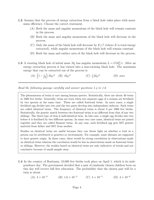- 1.2 Assume that the process of energy extraction from a black hole takes place with maximum efficiency. Choose the correct statement.
	- (A) Both the mass and angular momentum of the black hole will remain constant in the process.
	- (B) Both the mass and angular momentum of the black hole will decrease in the process.
	- (C) Only the mass of the black hole will decrease by  $E/c^2$  (where E is total energy extracted), while angular momentum of the black hole will remain constant.
	- (D) Both the mass and surface area of the black hole will decrease in the process.
- **1.3** A rotating black hole of initial mass  $M_0$  has angular momentum  $L = GM_0^2/c$ . After an energy extraction process it has turned into a non-rotating black hole. The maximum energy that can be extracted out of the process is

(A)  $\left(1 - \frac{1}{\sqrt{2}}\right)$ 2  $\int M_0 c^2$  (B)  $M_0 c^2$  (C)  $\frac{1}{2} M_0 c^2$  (D) zero

*Read the following passage carefully and answer questions 1.4 to 1.6.*

The phenomenon of twins is rare among human species. Statistically, there are about 40 twins in 1000 live births. Generally, twins are born when two separate eggs of a woman are fertilised by two sperms at the same time. These are called fraternal twins. In rarer cases, a single fertilised egg divides into two and the two parts develop into independent embryos. Such twins are called identical twins. The frequency of identical twins is about 3 per 1000 live births. Statistically, the genetic match between two fraternal twins is no different from that of any two siblings. The third type of twin is half-identical twin. In this case, a single egg divides into two before it is fertilised by two different sperms. In some very rare cases, identical twins are joined together and they are called Siamese twins. In any case, each fertilised egg gets 50% genetic material from father and 50% from mother.

Studies on identical twins are useful because they can throw light on whether a trait in a person can be attributed to genetics or environment. For example, some diseases are supposed to have genetic origin. In these cases, there would be strong correlation in observations made on identical twins whereas the correlation would be less in observations made on fraternal twins or siblings. However, the studies based on identical twins are only indicative of trends and not conclusive because of small sample sizes.

1.4 In the country of Raritania, 10,000 live births took place on April 1, which is its independence day. The government decided that a pair of randomly chosen children born on this day will receive full free education. The probability that the chosen pair will be a twin is about

(A)  $4 \times 10^{-2}$  (B)  $1.6 \times 10^{-3}$  (C)  $4 \times 10^{-5}$  (D)  $4 \times 10^{-6}$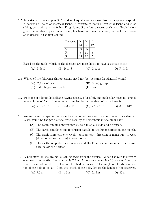1.5 In a study, three samples X, Y and Z of equal sizes are taken from a large eye hospital. X consists of pairs of identical twins, Y consists of pairs of fraternal twins and Z of sibling pairs who are not twins. P, Q, R and S are four diseases of the eye. Table below gives the number of pairs in each sample where both members test positive for a disease as indicated in the first column.

| <b>Diseases</b> |    |    | Z  |
|-----------------|----|----|----|
| P               | 14 | Q  | 12 |
|                 | 59 | 36 | 31 |
| $\mathbf R$     |    | 11 |    |
| S               | 23 | 12 |    |

Based on the table, which of the diseases are most likely to have a genetic origin?

| $(A)$ P & Q | $(B)$ R & S | (C) Q & S | $(D)$ P & R |
|-------------|-------------|-----------|-------------|
|-------------|-------------|-----------|-------------|

1.6 Which of the following characteristics need not be the same for identical twins?

| (A) Colour of eyes           | (B) Blood group |
|------------------------------|-----------------|
| (C) Palm fingerprint pattern | $(D)$ Sex       |

1.7 10 drops of a liquid haloalkane having density of  $2 \text{ g/mL}$  and molecular mass 150 g/mol have volume of 5 mL. The number of molecules in one drop of haloalkane is

(A)  $2.0 \times 10^{21}$  (B)  $4.0 \times 10^{21}$  (C)  $2.5 \times 10^{23}$  (D)  $6.0 \times 10^{23}$ 

- 1.8 An astronaut camps on the moon for a period of one month as per the earth's calendar. What would be the path of the earth seen by the astronaut in the lunar sky?
	- (A) The earth remains approximately at a fixed altitude and direction.
	- (B) The earth completes one revolution parallel to the lunar horizon in one month.
	- (C) The earth completes one revolution from east (direction of rising sun) to west (direction of setting sun) in one month.
	- (D) The earth completes one circle around the Pole Star in one month but never goes below the horizon.
- 1.9 A pole fixed on the ground is leaning away from the vertical. When the Sun is directly overhead, the length of its shadow is 7.5 m. An observer standing 30 m away from the base of the pole in the direction of the shadow, measures the angle of elevation of the top of the pole to be  $30^{\circ}$ . Find the length of the pole. Ignore the height of the observer.
	- (A)  $7.5 \text{ m}$  (B)  $15 \text{ m}$  (C)  $22.5 \text{ m}$  (D)  $30 \text{ m}$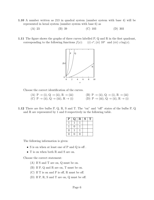- 1.10 A number written as 213 in quadral system (number system with base 4) will be represented in hexal system (number system with base 6) as
	- (A) 23 (B) 39 (C) 103 (D) 303
- 1.11 The figure shows the graphs of three curves labelled P, Q and R in the first quadrant, corresponding to the following functions  $f(x)$ : (i)  $e^x$ , (ii)  $10^x$  and (iii)  $x \log(x)$ .



Choose the correct identification of the curves.

- (A)  $P \rightarrow (i)$ ,  $Q \rightarrow (ii)$ ,  $R \rightarrow (iii)$  (B)  $P \rightarrow (ii)$ ,  $Q \rightarrow (i)$ ,  $R \rightarrow (iii)$ (C)  $P \rightarrow (ii)$ ,  $Q \rightarrow (iii)$ ,  $R \rightarrow (i)$  (D)  $P \rightarrow (iii)$ ,  $Q \rightarrow (ii)$ ,  $R \rightarrow (i)$
- 1.12 There are five bulbs P, Q, R, S and T. The "on" and "off" states of the bulbs P, Q and R are represented by 1 and 0 respectively in the following table.

| $\mathbf{P}$     | Q | $\mathbf R$ | ${\bf S}$ | т |
|------------------|---|-------------|-----------|---|
|                  |   |             |           |   |
|                  | 0 |             |           |   |
| $\boldsymbol{0}$ |   |             |           |   |
| 1                | 0 |             |           |   |

The following information is given:

- S is on when at least one of P and Q is off .
- T is on when both R and S are on.

Choose the correct statement:

- (A) If S and T are on, Q must be on.
- (B) If P, Q and R are on, T must be on.
- (C) If T is on and P is off, R must be off.
- (D) If P, R, S and T are on, Q must be off.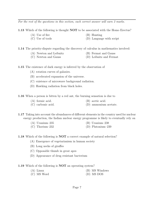*For the rest of the questions in this section, each correct answer will earn 2 marks.*

- 1.13 Which of the following is thought NOT to be associated with the Homo Erectus?
	- (A) Use of fire (B) Hunting
- - (C) Use of tools (D) Language with script

1.14 The priority-dispute regarding the discovery of calculus in mathematics involved:

- (A) Newton and Leibnitz (B) Fermat and Gauss
- (C) Newton and Gauss (D) Leibnitz and Fermat

1.15 The existence of dark energy is inferred by the observation of

- (A) rotation curves of galaxies.
- (B) accelerated expansion of the universe.
- (C) existence of microwave background radiation.
- (D) Hawking radiation from black holes.

1.16 When a person is bitten by a red ant, the burning sensation is due to

- (A) formic acid. (B) acetic acid.
- (C) carbonic acid. (D) ammonium acetate.

1.17 Taking into account the abundances of different elements in the country used for nuclear energy production, the Indian nuclear energy programme is likely to eventually rely on

> (A) Uranium–235 (B) Uranium–238 (C) Thorium–232 (D) Plutonium–239

1.18 Which of the following is **NOT** a correct example of natural selection?

- (A) Emergence of vegetarianism in human society
- (B) Long necks of giraffes
- (C) Opposable thumb in great apes
- (D) Appearance of drug resistant bacterium

1.19 Which of the following is **NOT** an operating system?

| $(A)$ Linux                    |  | (B) MS Windows |
|--------------------------------|--|----------------|
| $(\bigcap$ MC W <sub>ord</sub> |  | $(D)$ Me DOC   |

(C) MS Word (D) MS DOS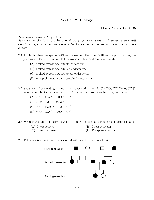# Section 2: Biology

# Marks for Section 2: 50

*This section contains 14 questions.*

*For questions 2.1 to 2.10* only one *of the 4 options is correct. A correct answer will earn 3 marks, a wrong answer will earn (*−*1) mark, and an unattempted question will earn 0 mark.*

- 2.1 In plants when one sperm fertilizes the egg and the other fertilizes the polar bodies, the process is referred to as double fertilization. This results in the formation of
	- (A) diploid zygote and diploid endosperm.
	- (B) diploid zygote and triploid endosperm.
	- (C) diploid zygote and tetraploid endosperm.
	- (D) tetraploid zygote and tetraploid endosperm.
- **2.2** Sequence of the coding strand in a transcription unit is 5'-ACGGTTACAAGCT-3'. What would be the sequence of mRNA transcribed from this transcription unit?
	- (A) 5'-UGCCAAUGUUCGU-3'
	- (B) 3'-ACGGUUACAAGCU-5'
	- (C) 3'-UCGAACAUUGGCA-5'
	- (D) 5'-UCGGAAUCUUGCA-3'

2.3 What is the type of linkage between  $\beta$  – and  $\gamma$  – phosphates in nucleoside triphosphates?

- 
- (A) Phosphoester (B) Phosphodiester
- 

- 
- (C) Phosphotriester (D) Phosphoanhydride
- 2.4 Following is a pedigree analysis of inheritance of a trait in a family:

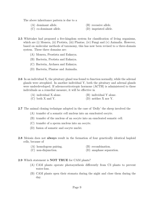The above inheritance pattern is due to a

- (A) dominant allele. (B) recessive allele.
- (C) co-dominant allele. (D) imprinted allele.
- -
- 2.5 Whittaker had proposed a five-kingdom system for classification of living organisms, which are (i) Monera, (ii) Protista, (iii) Plantae, (iv) Fungi and (v) Animalia. However, based on molecular methods of taxonomy, this has now been revised to a three-domain system. These three domains are:
	- (A) Monera, Prostista and Eukarya.
	- (B) Bacteria, Protista and Eukarya.
	- (C) Bacteria, Archaea and Eukarya.
	- (D) Bacteria, Plantae and Animalia.
- 2.6 In an individual X, the pituitary gland was found to function normally, while the adrenal glands were atrophied. In another individual Y, both the pituitary and adrenal glands were underdeveloped. If adrenocorticotropic hormone (ACTH) is administered to these individuals as a remedial measure, it will be effective in
	- (A) individual X alone. (B) individual Y alone.  $(C)$  both X and Y.  $(D)$  neither X nor Y.
- 2.7 The animal cloning technique adopted in the case of 'Dolly' the sheep involved the
	- (A) transfer of a somatic cell nucleus into an enucleated oocyte.
	- (B) transfer of the nucleus of an oocyte into an enucleated somatic cell.
	- (C) transfer of a sperm nucleus into an oocyte.
	- (D) fusion of somatic and oocyte nuclei.
- 2.8 Meiosis does not always result in the formation of four genetically identical haploid cells, because of
	- (A) homologous pairing. (B) recombination.
	- (C) non-disjunction. (D) anaphase separation.
- 2.9 Which statement is NOT TRUE for CAM plants?
	- (A) CAM plants operate photosynthesis differently from C3 plants to prevent water-loss.
	- (B) CAM plants open their stomata during the night and close them during the day.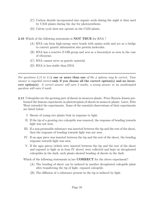- (C) Carbon dioxide incorporated into organic acids during the night is then used by CAM plants during the day for photosynthesis.
- (D) Calvin cycle does not operate in the CAM plants.
- 2.10 Which of the following statements is **NOT TRUE** for RNA?
	- (A) RNA can form high-energy ester bonds with amino acids and act as a bridge to convert genetic information into protein molecules.
	- (B) RNA has a reactive 2'-OH group and acts as a biocatalyst as seen in the case of ribozyme.
	- (C) RNA cannot serve as genetic material.
	- (D) RNA is less stable than DNA.

*For questions 2.11 to 2.14* one or more than one *of the 4 options may be correct. Your answer is regarded correct* only if you choose all the correct option(s) and no incorrect option(s)*. A correct answer will earn 5 marks, a wrong answer or an unattempted question will earn 0 mark.*

- 2.11 Coleoptiles are the growing part of shoots in monocot plants. Peter Boysen-Jensen performed the famous experiment on phototropism of shoots in monocot plants. Later, Frits Went extended the experiments. Some of the essential observations of their experiments are listed below:
	- I. Shoots of young rice plants bent in response to light.
	- II. If the tip of a growing rice coleoptile was removed, the response of bending towards light was not seen.
	- III. If a non-permeable substance was inserted between the tip and the rest of the shoot, then the response of bending towards light was not seen.
	- IV. If an agar piece was inserted between the tip and the rest of the shoot, the bending response towards light was seen.
	- V. If the agar pieces (which were inserted between the tip and the rest of the shoot and exposed to light as in item IV above) were collected and kept on decapitated coleoptiles in the dark, such plants showed bending of shoots in the dark.

Which of the following statements is/are **CORRECT** for the above experiment?

- (A) The bending of shoot can be induced in another decapitated coleoptile plant after transferring the tip of light- exposed coleoptile.
- (B) The diffusion of a substance present in the tip is induced by light.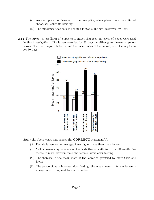- (C) An agar piece not inserted in the coleoptile, when placed on a decapitated shoot, will cause its bending.
- (D) The substance that causes bending is stable and not destroyed by light.
- 2.12 The larvae (caterpillars) of a species of insect that feed on leaves of a tree were used in this investigation. The larvae were fed for 30 days on either green leaves or yellow leaves. The bar-diagram below shows the mean mass of the larvae, after feeding them for 30 days.



Study the above chart and choose the **CORRECT** statement(s).

- (A) Female larvae, on an average, have higher mass than male larvae.
- (B) Yellow leaves may have some chemicals that contribute to the differential increase in mass between male and female larvae after feeding.
- (C) The increase in the mean mass of the larvae is governed by more than one factor.
- (D) The proportionate increase after feeding, the mean mass in female larvae is always more, compared to that of males.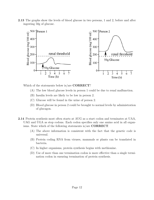2.13 The graphs show the levels of blood glucose in two persons, 1 and 2, before and after ingesting 50g of glucose.



Which of the statements below is/are **CORRECT**?

- (A) The low blood glucose levels in person 1 could be due to renal malfunction.
- (B) Insulin levels are likely to be low in person 2.
- (C) Glucose will be found in the urine of person 2.
- (D) Blood glucose in person 2 could be brought to normal levels by administration of glucagon.
- 2.14 Protein synthesis most often starts at AUG as a start codon and terminates at UAA, UAG and UGA as stop codons. Each codon specifies only one amino acid in all organisms. State which of the following statements is/are CORRECT.
	- (A) The above information is consistent with the fact that the genetic code is universal.
	- (B) Protein coding RNA from viruses, mammals or plants can be translated in bacteria.
	- (C) In higher organisms, protein synthesis begins with methionine.
	- (D) Use of more than one termination codon is more effective than a single termination codon in ensuring termination of protein synthesis.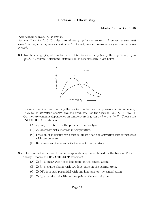# Section 3: Chemistry

#### Marks for Section 3: 50

#### *This section contains 14 questions.*

*For questions 3.1 to 3.10* only one *of the 4 options is correct. A correct answer will earn 3 marks, a wrong answer will earn (*−*1) mark, and an unattempted question will earn 0 mark.*

**3.1** Kinetic energy  $(E_k)$  of a molecule is related to its velocity (v) by the expression,  $E_k =$  $\frac{1}{2}mv^2$ .  $E_k$  follows Boltzmann distribution as schematically given below.



During a chemical reaction, only the reactant molecules that possess a minimum energy  $(E_a)$ , called activation energy, give the products. For the reaction,  $2N_2O_5 \rightarrow 4NO_2 +$ O<sub>2</sub>, the rate constant dependence on temperature is given by  $k = Ae^{-E_a/RT}$ . Choose the INCORRECT statement:

- (A)  $E_a$  may be altered in the presence of a catalyst.
- (B)  $E_a$  decreases with increase in temperature.
- (C) Fraction of molecules with energy higher than the activation energy increases with temperature.
- (D) Rate constant increases with increase in temperature.
- 3.2 The observed structure of xenon compounds may be explained on the basis of VSEPR theory. Choose the INCORRECT statement:
	- (A)  $XeF_2$  is linear with three lone pairs on the central atom.
	- (B) XeF<sup>4</sup> is square planar with two lone pairs on the central atom.
	- $(C)$  XeOF<sub>4</sub> is square pyramidal with one lone pair on the central atom.
	- (D)  $XeF_6$  is octahedral with no lone pair on the central atom.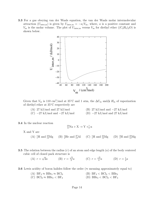3.3 For a gas obeying van der Waals equation, the van der Waals molar intermolecular attraction ( $U_{\text{inter,m}}$ ) is given by  $U_{\text{inter,m}} = -a/V_{\text{m}}$ , where, a is a positive constant and  $V_{\rm m}$  is the molar volume. The plot of  $U_{\rm inter,m}$  versus  $V_{\rm m}$  for diethyl ether  $((C_2H_5)_2O)$  is shown below.



Given that  $V_m$  is 110 cm<sup>3</sup>/mol at 35°C and 1 atm, the  $\Delta U_m$  and $\Delta H_m$  of vaporization of diethyl ether at 35◦C respectively are

| $(A)$ 27 kJ/mol and 27 kJ/mol   | (B) 27 kJ/mol and $-27$ kJ/mol         |  |
|---------------------------------|----------------------------------------|--|
| $(C)$ -27 kJ/mol and -27 kJ/mol | (D) $-27 \text{ kJ/mol}$ and 27 kJ/mol |  |

3.4 In the nuclear reaction

$$
^{23}_{11}Na + X \to Y + ^1_0 n
$$

X and Y are

- $(A)$  <sup>1</sup>H and <sup>23</sup><sub>12</sub>  $^{23}_{12}Mg$  (B)  $^{4}_{2}He$  and  $^{27}_{13}Al$  (C)  $^{1}_{1}H$  and  $^{24}_{12}Mg$  (D)  $^{2}_{1}H$  and  $^{23}_{12}Mg$
- **3.5** The relation between the radius  $(r)$  of an atom and edge length  $(a)$  of the body centered cubic cell of closed pack structure is
	- (A)  $r = \sqrt{2}a$  (B)  $r = \frac{\sqrt{3}}{2}a$  (C)  $r = \frac{\sqrt{3}}{4}a$  (D)  $r = \frac{1}{2}a$

**3.6** Lewis acidity of boron halides follow the order ( $\approx$  meaning approximately equal to)

(A)  $BF_3 \approx BBr_3 \approx BCl_3$ <br>
(C)  $BCl_3 \approx BBr_3 < BF_3$ <br>
(D)  $BF_3 < BCl_3 < BF_3$ <br>
(D)  $BBr_3 < BCl_3 < BF_3$ (C)  $BCl_3 \approx BBr_3 < BF_3$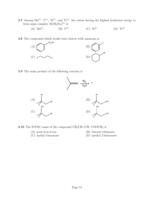**3.7** Among  $\text{Mn}^{2+}$ ,  $\text{V}^{2+}$ ,  $\text{Ni}^{2+}$ , and  $\text{Ti}^{2+}$ , the cation having the highest hydration energy to form aqua complex  $[M(H_2O)_6]^{2+}$  is

(A) 
$$
\text{Mn}^{2+}
$$
 (B)  $V^{2+}$  (C)  $\text{Ni}^{2+}$  (D)  $\text{Ti}^{2+}$ 

3.8 The compound which would react fastest with ammonia is



3.9 The main product of the following reaction is



**3.10** The IUPAC name of the compound  $CH_3CH=CH-COOCH_3$  is

- 
- (A) pent-3-en-2-one (B) butenyl ethanoate
- 
- 
- (C) methyl butanoate (D) methyl 2-butenoate

Page 15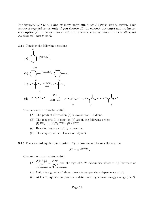*For questions 3.11 to 3.14* one or more than one *of the 4 options may be correct. Your answer is regarded correct* only if you choose all the correct option(s) and no incorrect option(s)*. A correct answer will earn 5 marks, a wrong answer or an unattempted question will earn 0 mark.*

#### 3.11 Consider the following reactions



Choose the correct statement(s).

- (A) The product of reaction (a) is cyclohexan-1,4-dione.
- (B) The reagents R in reaction (b) are in the following order: (i)  $BH<sub>3</sub>$  (ii)  $H<sub>2</sub>O<sub>2</sub>/OH<sup>-</sup>$  (iii) PCC.
- (C) Reaction (c) is an  $S_N1$  type reaction.
- (D) The major product of reaction (d) is X.

**3.12** The standard equilibrium constant  $K_P^{\circ}$  is positive and follows the relation

$$
K_P^\circ = \mathrm{e}^{-\Delta G^\circ / RT}.
$$

Choose the correct statement(s).

- (A)  $\frac{d(\ln K_P^{\circ})}{dT} = \frac{\Delta H^{\circ}}{RT^2}$  and the sign of  $\Delta H^{\circ}$  determines whether  $K_P^{\circ}$  increases or decreases as T increases.
- (B) Only the sign of  $\Delta S^{\circ}$  determines the temperature dependence of  $K_P^{\circ}$ .
- (C) At low T, equilibrium position is determined by internal energy change ( $\Delta U^{\circ}$ ).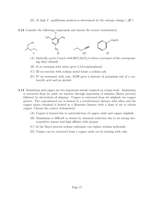- (D) At high T, equilibrium position is determined by the entropy change ( $\Delta S^{\circ}$ ).
- 3.13 Consider the following compounds and choose the correct statement(s).



- (A) Optically active I reacts with  $HCl/ZnCl<sub>2</sub>$  to form a racemate of the corresponding alkyl chloride.
- (B) II on warming with water gives 2,4,6-trinitrophenol.
- (C) III on reaction with sodium metal forms a sodium salt.
- (D) IV on treatment with conc. KOH gives a mixture of potassium salt of a carboxylic acid and an alcohol.
- 3.14 Aluminium and copper are two important metals required on a large scale. Aluminium is extracted from its oxide ore bauxite through separation of alumina (Bayer process) followed by electrolysis of alumina. Copper is extracted from its sulphide ore copper pyrites. The concentrated ore is heated in a reverberatory furnace with silica and the copper matte obtained is heated in a Bessemer furnace with a blast of air to obtain copper. Choose the correct statement(s).
	- (A) Copper is formed due to autoreduction of copper oxide and copper sulphide.
	- (B) Aluminium is difficult to obtain by chemical reduction due to its strong electropositive nature and high affinity with oxygen.
	- (C) In the Bayer process sodium carbonate can replace sodium hydroxide.
	- (D) Copper can be extracted from a copper oxide ore by heating with coke.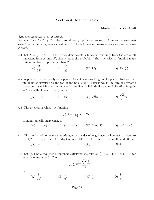### Section 4: Mathematics

#### Marks for Section 4: 50

#### *This section contains 14 questions.*

*For questions 4.1 to 4.10* only one *of the 4 options is correct. A correct answer will earn 3 marks, a wrong answer will earn (*−*1) mark, and an unattempted question will earn 0 mark.*

4.1 Let  $X = \{1, 2, 3, \ldots, 25\}$ . If a student selects a function randomly from the set of all functions from  $X$  onto  $X$ , then what is the probability that the selected function maps prime numbers to prime numbers ?

(A) 
$$
\frac{9!}{25!}
$$
 (B)  $\frac{16!}{25!}$  (C)  $1/\binom{25}{9}$  (D)  $9!/\binom{25}{9}$ 

4.2 A pole is fixed vertically on a plane. An ant while walking on the plane, observes that its angle of elevation to the top of the pole is 45◦. Then it walks 1 m straight towards the pole, turns left and then moves 2 m further. If it finds the angle of elevation is again 45◦, then the height of the pole is

> (A) 2.5 m. (B) 2 m. (C)  $\sqrt{2}$  m.  $\sqrt{3}$ 2 m.

4.3 The interval in which the function

$$
f(x) = \log_{\frac{1}{2}}(x^2 - 2x - 8)
$$

is monotonically increasing, is

(A)  $(4, +\infty)$ . (B)  $(-\infty, -2)$ . (C)  $(-\infty, 4)$ . (D)  $(-2, +\infty)$ .

4.4 The number of non-congruent triangles with sides of length  $a, b, c$  where  $a, b, c$  belong to  $\{0, 1, 2, \dots, 9\}$ ; so that the 3 digit number  $10^2a + 10b + c$  lies between 200 and 300, is

- (A) 24. (B) 16. (C) 8. (D) 4.
- **4.5** Let  $\{a_n\}$  be a sequence of numbers satisfying the relation  $(3 a_{n+1})(6 + a_n) = 18$  for all  $n \geq 0$  and  $a_0 = 3$ . Then

$$
\lim_{n \to \infty} \frac{1}{2^{n+2}} \sum_{j=0}^{n} \frac{1}{a_j}
$$

is

(A) 
$$
\frac{1}{18}
$$
. (B)  $\frac{1}{6}$ . (C)  $\frac{1}{4}$ . (D)  $\frac{1}{3}$ .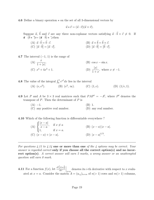4.6 Define a binary operation  $\star$  on the set of all 3-dimensional vectors by

$$
\vec{u} \star \vec{v} = (\vec{u} \cdot \vec{v})(\vec{u} \times \vec{v}).
$$

Suppose  $\vec{a}$ ,  $\vec{b}$  and  $\vec{c}$  are any three non-coplanar vectors satisfying  $\vec{a} \cdot \vec{b} \times \vec{c} \neq 0$ . If  $\vec{a}$   $(\vec{b} \star \vec{\tau})c = (\vec{a} \cdot \vec{b}) \star \vec{\tau}$ , cthen

(A)  $\vec{a} \cdot \vec{b} = \vec{b} \cdot \vec{c}$ . (B)  $\vec{a} \times \vec{b} = \vec{b} \times \vec{c}$ . (C)  $|\vec{a} \cdot \vec{b}| = |\vec{a} \cdot \vec{c}|$  $|\vec{a} \cdot \vec{b}| = |\vec{b} \cdot \vec{c}|.$ 

4.7 The interval  $(-1, 1)$  is the range of

(A) 
$$
\frac{x}{1+|x|}
$$
.  
\n(B)  $\cos x - \sin x$ .  
\n(C)  $x^4 + 4x^3 + 1$ .  
\n(D)  $\frac{|x|}{1+x}$ , where  $x \neq -1$ .

**4.8** The value of the integral  $\int_0^1 e^{x^2} dx$  lies in the interval

(A) 
$$
(e, e^2)
$$
. (B)  $(e^2, \infty)$ . (C)  $(1, e)$ . (D)  $(1/e, 1)$ .

4.9 Let P and A be  $3 \times 3$  real matrices such that  $PAP^t = -A^t$ , where P<sup>t</sup> denotes the transpose of  $P$ . Then the determinant of  $P$  is

> (A)  $-1$ . (B) 1.<br>(C) any positive real number. (D) any real number.  $(C)$  any positive real number.

#### 4.10 Which of the following function is differentiable everywhere ?

(A) 
$$
\begin{cases} \frac{|x-a|}{x-a}, & \text{if } x \neq a \\ 1, & \text{if } x = a. \end{cases}
$$
 (B)  $(x-a)|x-a|$ .  
(C)  $(x-a) + |x-a|$ . (D)  $|x-a|^{1/3}$ .

*For questions 4.11 to 4.14* one or more than one *of the 4 options may be correct. Your answer is regarded correct* only if you choose all the correct option(s) and no incorrect option(s)*. A correct answer will earn 5 marks, a wrong answer or an unattempted question will earn 0 mark.*

**4.11** For a function  $f(x)$ , let  $\frac{d^i(f(x))}{dx^i}$  $dx^i$ denotes its *i*-th derivative with respect to x evaluated at  $x = a$ . Consider the matrix  $A = (a_{i,j})_{n \times m}$  of  $n(> 1)$  rows and  $m(> 1)$  columns,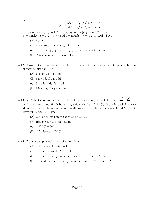with

$$
a_{i,j} = \left(\frac{d^i x^n}{dx^i}\Big|_{x=1}\right) / \left(\frac{d^j y^m}{dy^j}\Big|_{y=1}\right).
$$

Let  $p_i = \max\{a_{i,j} : j = 1, 2, \ldots, m\}, q_i = \min\{a_{i,j} : i = 1, 2, \ldots, n\},$  $p = \min\{p_i : i = 1, 2, \ldots, n\}$  and  $q = \max\{q_j : j = 1, 2, \ldots, m\}$ . Then

- $(A)$   $p > q$ . (B)  $a_{1,1} < a_{2,2} < \cdots < a_{m,m}$ , if  $n > m$ .
- (C)  $a_{n,m} = a_{n-1,m-1} = \cdots = a_{n-\ell+1,m-\ell+1}$ , where  $\ell = \min\{n,m\}.$
- (D) A is a symmetric matrix, if  $m = n$ .
- 4.12 Consider the equation  $x^2 + bx + c = 0$ , where b, c are integers. Suppose it has an integer solution  $p$ . Then
	- $(A)$  p is odd, if c is odd.
	- $(B)$  c is odd, if p is odd.
	- (C)  $b + c$  is odd, if p is odd.
	- (D) b is even, if  $b + c$  is even.
- **4.13** Let O be the origin and let A, C be the intersection points of the ellipse  $\frac{x^2}{4} + \frac{y^2}{3}$  $=$  1 with the x-axis and B, D be with y-axis such that A,B, C, D are in anti-clockwise direction. Let  $K, L$  be the foci of the ellipse such that K lies between A and O, and L between  $O$  and  $C$ . Then
	- (A) DL is the median of the triangle DOC.
	- $(B)$  triangle  $DKL$  is equilateral.
	- (C)  $\angle KDC = 90^\circ$ .
	- (D)  $DL$  bisects  $\angle KDC$ .
- 4.14 If  $\omega$  is a complex cube root of unity, then
	- (A)  $\omega$  is a zero of  $x^2 + x + 1$ .
	- (B)  $\pm \omega^2$  are zeros of  $x^4 + x + 1$ .
	- (C)  $\pm \omega^2$  are the only common zeros of  $x^{12} 1$  and  $x^4 + x^2 + 1$ .
	- (D)  $\pm\omega$  and  $\pm\omega^2$  are the only common zeros of  $x^{12} 1$  and  $x^4 + x^2 + 1$ .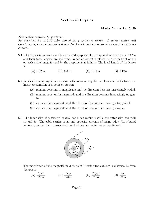# Section 5: Physics

#### Marks for Section 5: 50

#### *This section contains 14 questions.*

*For questions 5.1 to 5.10* only one *of the 4 options is correct. A correct answer will earn 3 marks, a wrong answer will earn (*−*1) mark, and an unattempted question will earn 0 mark.*

- 5.1 The distance between the objective and eyepiece of a compound microscope is 0.12 m and their focal lengths are the same. When an object is placed 0.025 m in front of the objective, the image formed by the eyepiece is at infinity. The focal length of the lenses is
	- (A)  $0.02 \text{ m}$  (B)  $0.03 \text{ m}$  (C)  $0.10 \text{ m}$  (D)  $0.12 \text{ m}$
- 5.2 A wheel is spinning about its axis with constant angular acceleration. With time, the linear acceleration of a point on its rim
	- (A) remains constant in magnitude and the direction becomes increasingly radial.
	- (B) remains constant in magnitude and the direction becomes increasingly tangential.
	- (C) increases in magnitude and the direction becomes increasingly tangential.
	- (D) increases in magnitude and the direction becomes increasingly radial.
- 5.3 The inner wire of a straight coaxial cable has radius a while the outer wire has radii 3a and 5a. The cable carries equal and opposite currents of magnitude i (distributed uniformly across the cross-section) on the inner and outer wires (see figure).



The magnitude of the magnetic field at point P inside the cable at a distance 4a from the axis is

(A) 
$$
\frac{9\mu_0 i}{128\pi a}
$$
 (B)  $\frac{7\mu_0 i}{128\pi a}$  (C)  $\frac{23\mu_0 i}{128\pi a}$  (D)  $\frac{\mu_0 i}{32\pi a}$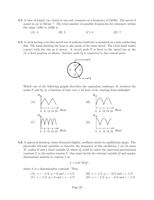- 5.4 A tube of length 1 m, closed at one end, resonates at a frequency of 249 Hz. The speed of sound in air is  $332 \,\mathrm{ms}^{-1}$ . The total number of possible frequencies for resonance within the range 1 kHz to 2 kHz is
	- $(A)$  4 (B) 5 (C) 6 (D) 7
- 5.5 A clock having a circular metal rim of uniform resistivity is mounted on a non-conducting dial. The hand showing the hour is also made of the same metal. The clock hand makes contact with the rim as it moves. A circuit node P is fixed to the metal rim at the 12 o'clock position as shown. Another node Q is connected to the central pivot.



Which one of the following graphs describes the equivalent resistance R, between the nodes P and Q, as a function of time over a 24 hour cycle, starting from midnight?



5.6 A spherical dewdrop, when deformed slightly, oscillates about its equilibrium shape. The physically relevant variables to describe the frequency of this oscillation  $f$  are its mass M, radius R and a third variable  $Q$ , where  $Q$  could be either the universal gravitational constant G or the surface tension  $S$ . One must decide the relevant variable  $Q$  and employ dimensional analysis to express f as

$$
f = kM^x R^y Q^z,
$$

where  $k$  is a dimensionless constant. Then

(A)  $x = -1/2$ ,  $y = 0$  and  $z = 1/2$ <br>
(C)  $x = 1/2$ ,  $y = 0$  and  $z = -1/2$ <br>
(D)  $x = -1/2$ ,  $y = -3/2$  and  $z = 1/2$ <br>
(D)  $x = -1/2$ ,  $y = -3/2$  and  $z = 1/2$ (D)  $x = -1/2, y = -3/2$  and  $z = 1/2$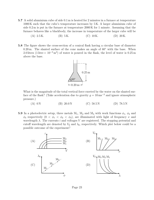- 5.7 A solid aluminium cube of side 0.1 m is heated for 2 minutes in a furnace at temperature 1000 K such that the cube's temperature increases by 5 K. A larger aluminium cube of side 0.2 m is put in the furnace at temperature 2000 K for 1 minute. Assuming that the furnace behaves like a blackbody, the increase in temperature of the larger cube will be
	- (A) 2.5 K. (B) 5 K. (C) 10 K. (D) 20 K.
- 5.8 The figure shows the cross-section of a conical flask having a circular base of diameter 0.20 m. The slanted surface of the cone makes an angle of  $60°$  with the base. When 2.0 litres (1 litre =  $10^{-3}$  m<sup>3</sup>) of water is poured in the flask, the level of water is 0.25 m above the base.



What is the magnitude of the total vertical force exerted by the water on the slanted surface of the flask? (Take acceleration due to gravity  $g = 10 \,\mathrm{ms}^{-2}$  and ignore atmospheric pressure.)

- (A) 0 N (B) 20.0 N (C)  $58.5 N$  (D)  $78.5 N$
- **5.9** In a photoelectric setup, three metals  $M_1$ ,  $M_2$  and  $M_3$  with work functions  $\phi_1$ ,  $\phi_2$  and  $\phi_3$  respectively  $(0 < \phi_1 < \phi_2 < \phi_3)$ , are illuminated with light of frequency  $\nu$  and wavelength  $\lambda$ . The currents i and voltages V are registered. The stopping potential and cutoff wavelength are denoted by  $V_0$  and  $\lambda_0$ , respectively. Which plot below could be a possible outcome of the experiment?

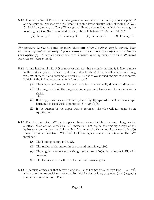5.10 A satellite GeoSAT is in a circular geostationary orbit of radius  $R_G$ , above a point P on the equator. Another satellite ComSAT is in a lower circular orbit of radius  $0.81R<sub>G</sub>$ . At 7 P.M on January 1, ComSAT is sighted directly above P. On which day among the following can ComSAT be sighted directly above P between 7 P.M. and 8 P.M.?

(A) January 3 (B) January 9 (C) January 15 (D) January 21

*For questions 5.11 to 5.14* one or more than one *of the 4 options may be correct. Your answer is regarded correct* only if you choose all the correct option(s) and no incorrect option(s)*. A correct answer will earn 5 marks, a wrong answer or an unattempted question will earn 0 mark.*

- **5.11** A long horizontal wire  $PQ$  of mass m and carrying a steady current  $i_1$  is free to move in the vertical plane. It is in equilibrium at a height  $d$  above another horizontal long wire RS of mass m and carrying a current  $i_2$ . The wire RS is fixed and not free to move. Which of the following statements is/are correct?
	- (A) The magnetic force on the lower wire is in the vertically downward direction.
	- (B) The magnitude of the magnetic force per unit length on the upper wire is  $\mu_0$ *i*<sub>1</sub>*i*<sub>2</sub>  $2\pi d$
	- (C) If the upper wire as a whole is displaced slightly upward, it will perform simple harmonic motion with time period  $T = 2\pi \sqrt{d/g}$ .
	- (D) If the current in the upper wire is reversed, the wire will no longer be in equilibrium.
- 5.12 The electron in the  $Li^{2+}$  ion is replaced by a meson which has the same charge as the electron. Such an ion is called a  $Li^{2+}$  mesic ion. Let  $E_B$  be the binding energy of the hydrogen atom, and  $r<sub>B</sub>$  the Bohr radius. You may take the mass of a meson to be 200 times the mass of electron. Which of the following statements is/are true for the  $Li^{2+}$ mesic ion?
	- (A) The binding energy is  $1800E_B$ .
	- (B) The radius of the meson in the ground state is  $r_{\rm B}/1800$ .
	- (C) The angular momentum in the ground state is  $200h/2\pi$ , where h is Planck's constant.
	- (D) The Balmer series will be in the infrared wavelengths.
- **5.13** A particle of mass m that moves along the x-axis has potential energy  $V(x) = a + bx^2$ , where a and b are positive constants. Its initial velocity is  $v_0$  at  $x = 0$ . It will execute simple harmonic motion. Then